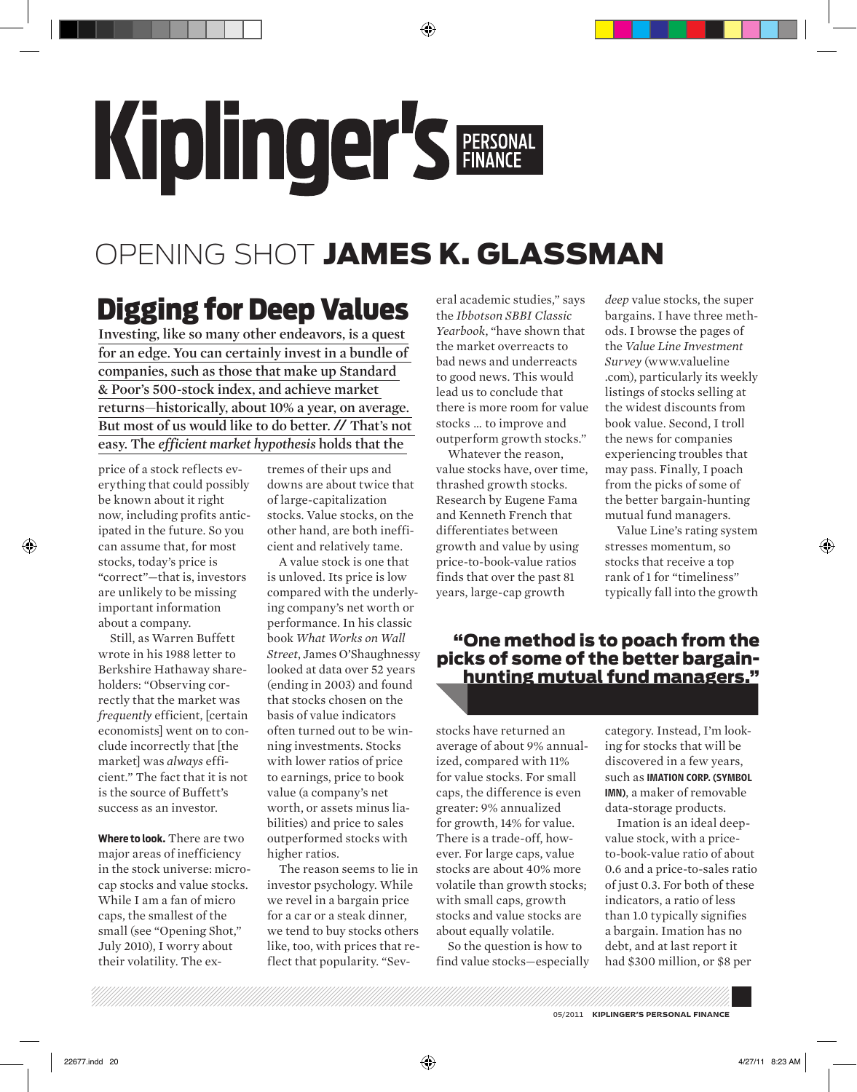## Kiplinger's FERSONAL

## OPENING SHOT JAMES K. GLASSMAN

## Digging for Deep Values

**Investing, like so many other endeavors, is a quest for an edge. You can certainly invest in a bundle of companies, such as those that make up Standard & Poor's 500-stock index, and achieve market returns—historically, about 10% a year, on average. But most of us would like to do better.** // **That's not easy. The** *efficient market hypothesis* **holds that the** 

price of a stock reflects everything that could possibly be known about it right now, including profits anticipated in the future. So you can assume that, for most stocks, today's price is "correct"—that is, investors are unlikely to be missing important information about a company.

Still, as Warren Buffett wrote in his 1988 letter to Berkshire Hathaway shareholders: "Observing correctly that the market was *frequently* efficient, [certain economists] went on to conclude incorrectly that [the market] was *always* efficient." The fact that it is not is the source of Buffett's success as an investor.

**Where to look.** There are two major areas of inefficiency in the stock universe: microcap stocks and value stocks. While I am a fan of micro caps, the smallest of the small (see "Opening Shot," July 2010), I worry about their volatility. The ex-

tremes of their ups and downs are about twice that of large-capitalization stocks. Value stocks, on the other hand, are both inefficient and relatively tame.

A value stock is one that is unloved. Its price is low compared with the underlying company's net worth or performance. In his classic book *What Works on Wall Street*, James O'Shaughnessy looked at data over 52 years (ending in 2003) and found that stocks chosen on the basis of value indicators often turned out to be winning investments. Stocks with lower ratios of price to earnings, price to book value (a company's net worth, or assets minus liabilities) and price to sales outperformed stocks with higher ratios.

The reason seems to lie in investor psychology. While we revel in a bargain price for a car or a steak dinner, we tend to buy stocks others like, too, with prices that reflect that popularity. "Sev-

eral academic studies," says the *Ibbotson SBBI Classic Yearbook*, "have shown that the market overreacts to bad news and underreacts to good news. This would lead us to conclude that there is more room for value stocks … to improve and outperform growth stocks."

Whatever the reason, value stocks have, over time, thrashed growth stocks. Research by Eugene Fama and Kenneth French that differentiates between growth and value by using price-to-book-value ratios finds that over the past 81 years, large-cap growth

*deep* value stocks, the super bargains. I have three methods. I browse the pages of the *Value Line Investment Survey* (www.valueline .com), particularly its weekly listings of stocks selling at the widest discounts from book value. Second, I troll the news for companies experiencing troubles that may pass. Finally, I poach from the picks of some of the better bargain-hunting mutual fund managers.

Value Line's rating system stresses momentum, so stocks that receive a top rank of 1 for "timeliness" typically fall into the growth

## "One method is to poach from the picks of some of the better bargainhunting mutual fund managers."

stocks have returned an average of about 9% annualized, compared with 11% for value stocks. For small caps, the difference is even greater: 9% annualized for growth, 14% for value. There is a trade-off, however. For large caps, value stocks are about 40% more volatile than growth stocks; with small caps, growth stocks and value stocks are about equally volatile.

So the question is how to find value stocks—especially

category. Instead, I'm looking for stocks that will be discovered in a few years, such as IMATION CORP. (SYMBOL IMN), a maker of removable data-storage products.

Imation is an ideal deepvalue stock, with a priceto-book-value ratio of about 0.6 and a price-to-sales ratio of just 0.3. For both of these indicators, a ratio of less than 1.0 typically signifies a bargain. Imation has no debt, and at last report it had \$300 million, or \$8 per